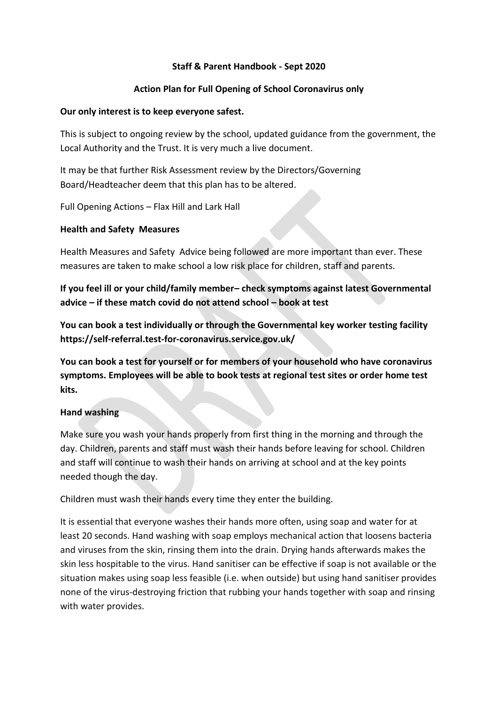### **Staff & Parent Handbook - Sept 2020**

### **Action Plan for Full Opening of School Coronavirus only**

#### **Our only interest is to keep everyone safest.**

This is subject to ongoing review by the school, updated guidance from the government, the Local Authority and the Trust. It is very much a live document.

It may be that further Risk Assessment review by the Directors/Governing Board/Headteacher deem that this plan has to be altered.

Full Opening Actions – Flax Hill and Lark Hall

### **Health and Safety Measures**

Health Measures and Safety Advice being followed are more important than ever. These measures are taken to make school a low risk place for children, staff and parents.

**If you feel ill or your child/family member– check symptoms against latest Governmental advice – if these match covid do not attend school – book at test**

**You can book a test individually or through the Governmental key worker testing facility https://self-referral.test-for-coronavirus.service.gov.uk/** 

**You can book a test for yourself or for members of your household who have coronavirus symptoms. Employees will be able to book tests at regional test sites or order home test kits.**

#### **Hand washing**

Make sure you wash your hands properly from first thing in the morning and through the day. Children, parents and staff must wash their hands before leaving for school. Children and staff will continue to wash their hands on arriving at school and at the key points needed though the day.

Children must wash their hands every time they enter the building.

It is essential that everyone washes their hands more often, using soap and water for at least 20 seconds. Hand washing with soap employs mechanical action that loosens bacteria and viruses from the skin, rinsing them into the drain. Drying hands afterwards makes the skin less hospitable to the virus. Hand sanitiser can be effective if soap is not available or the situation makes using soap less feasible (i.e. when outside) but using hand sanitiser provides none of the virus-destroying friction that rubbing your hands together with soap and rinsing with water provides.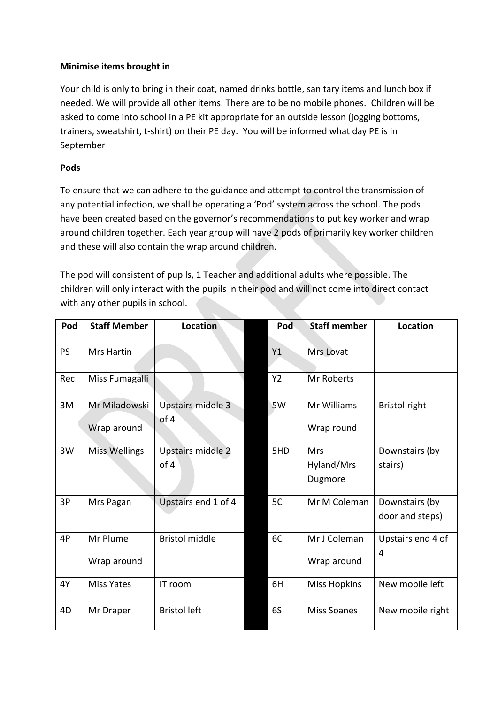# **Minimise items brought in**

Your child is only to bring in their coat, named drinks bottle, sanitary items and lunch box if needed. We will provide all other items. There are to be no mobile phones. Children will be asked to come into school in a PE kit appropriate for an outside lesson (jogging bottoms, trainers, sweatshirt, t-shirt) on their PE day. You will be informed what day PE is in September

### **Pods**

To ensure that we can adhere to the guidance and attempt to control the transmission of any potential infection, we shall be operating a 'Pod' system across the school. The pods have been created based on the governor's recommendations to put key worker and wrap around children together. Each year group will have 2 pods of primarily key worker children and these will also contain the wrap around children.

The pod will consistent of pupils, 1 Teacher and additional adults where possible. The children will only interact with the pupils in their pod and will not come into direct contact with any other pupils in school.

| Pod       | <b>Staff Member</b>  | <b>Location</b>       | Pod       | <b>Staff member</b> | Location             |
|-----------|----------------------|-----------------------|-----------|---------------------|----------------------|
|           |                      |                       |           |                     |                      |
| <b>PS</b> | <b>Mrs Hartin</b>    |                       | Y1        | Mrs Lovat           |                      |
|           |                      |                       |           |                     |                      |
| Rec       | Miss Fumagalli       |                       | <b>Y2</b> | Mr Roberts          |                      |
|           |                      |                       |           |                     |                      |
| 3M        | Mr Miladowski        | Upstairs middle 3     | 5W        | Mr Williams         | <b>Bristol right</b> |
|           |                      | of 4                  |           |                     |                      |
|           | Wrap around          |                       |           | Wrap round          |                      |
| 3W        | <b>Miss Wellings</b> | Upstairs middle 2     | 5HD       | Mrs                 | Downstairs (by       |
|           |                      | of 4                  |           | Hyland/Mrs          | stairs)              |
|           |                      |                       |           | Dugmore             |                      |
|           |                      |                       |           |                     |                      |
| 3P        | Mrs Pagan            | Upstairs end 1 of 4   | 5C        | Mr M Coleman        | Downstairs (by       |
|           |                      |                       |           |                     | door and steps)      |
|           |                      |                       |           |                     |                      |
| 4P        | Mr Plume             | <b>Bristol middle</b> | 6C        | Mr J Coleman        | Upstairs end 4 of    |
|           | Wrap around          |                       |           | Wrap around         | 4                    |
|           |                      |                       |           |                     |                      |
| 4Y        | <b>Miss Yates</b>    | IT room               | 6H        | <b>Miss Hopkins</b> | New mobile left      |
|           |                      |                       |           |                     |                      |
| 4D        | Mr Draper            | <b>Bristol left</b>   | 6S        | <b>Miss Soanes</b>  | New mobile right     |
|           |                      |                       |           |                     |                      |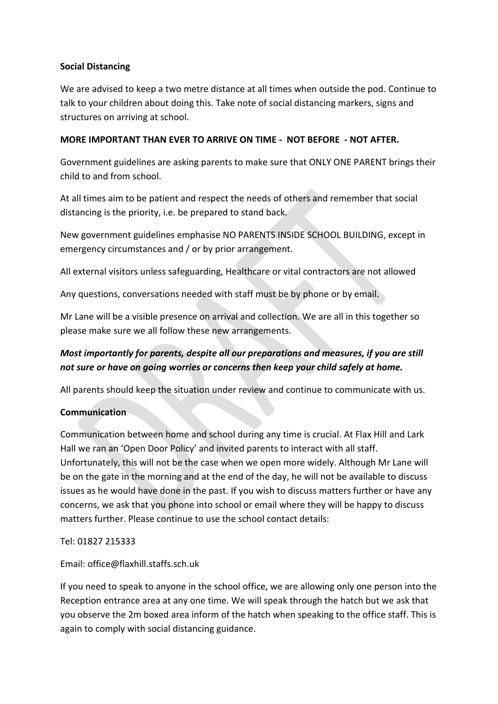### **Social Distancing**

We are advised to keep a two metre distance at all times when outside the pod. Continue to talk to your children about doing this. Take note of social distancing markers, signs and structures on arriving at school.

### **MORE IMPORTANT THAN EVER TO ARRIVE ON TIME - NOT BEFORE - NOT AFTER.**

Government guidelines are asking parents to make sure that ONLY ONE PARENT brings their child to and from school.

At all times aim to be patient and respect the needs of others and remember that social distancing is the priority, i.e. be prepared to stand back.

New government guidelines emphasise NO PARENTS INSIDE SCHOOL BUILDING, except in emergency circumstances and / or by prior arrangement.

All external visitors unless safeguarding, Healthcare or vital contractors are not allowed

Any questions, conversations needed with staff must be by phone or by email.

Mr Lane will be a visible presence on arrival and collection. We are all in this together so please make sure we all follow these new arrangements.

# *Most importantly for parents, despite all our preparations and measures, if you are still not sure or have on going worries or concerns then keep your child safely at home.*

All parents should keep the situation under review and continue to communicate with us.

#### **Communication**

Communication between home and school during any time is crucial. At Flax Hill and Lark Hall we ran an 'Open Door Policy' and invited parents to interact with all staff. Unfortunately, this will not be the case when we open more widely. Although Mr Lane will be on the gate in the morning and at the end of the day, he will not be available to discuss issues as he would have done in the past. If you wish to discuss matters further or have any concerns, we ask that you phone into school or email where they will be happy to discuss matters further. Please continue to use the school contact details:

Tel: 01827 215333

Email: office@flaxhill.staffs.sch.uk

If you need to speak to anyone in the school office, we are allowing only one person into the Reception entrance area at any one time. We will speak through the hatch but we ask that you observe the 2m boxed area inform of the hatch when speaking to the office staff. This is again to comply with social distancing guidance.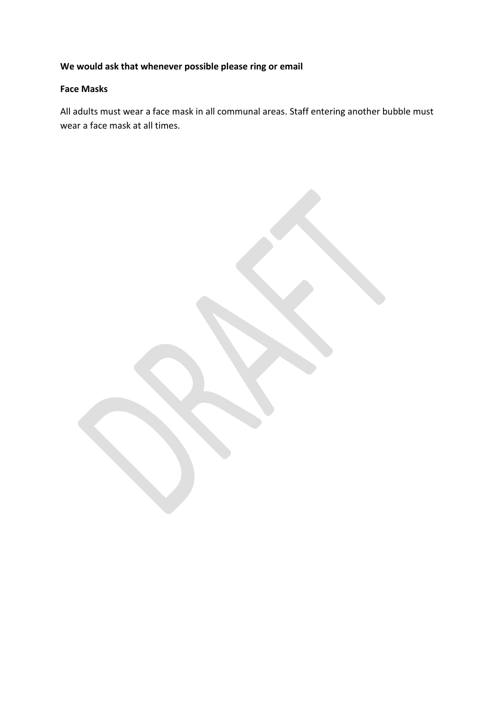# **We would ask that whenever possible please ring or email**

# **Face Masks**

All adults must wear a face mask in all communal areas. Staff entering another bubble must wear a face mask at all times.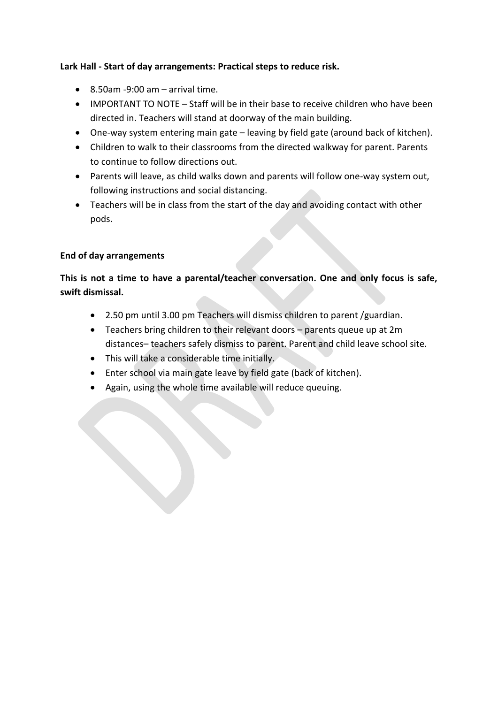# **Lark Hall - Start of day arrangements: Practical steps to reduce risk.**

- $\bullet$  8.50am -9:00 am arrival time.
- IMPORTANT TO NOTE Staff will be in their base to receive children who have been directed in. Teachers will stand at doorway of the main building.
- One-way system entering main gate leaving by field gate (around back of kitchen).
- Children to walk to their classrooms from the directed walkway for parent. Parents to continue to follow directions out.
- Parents will leave, as child walks down and parents will follow one-way system out, following instructions and social distancing.
- Teachers will be in class from the start of the day and avoiding contact with other pods.

# **End of day arrangements**

# **This is not a time to have a parental/teacher conversation. One and only focus is safe, swift dismissal.**

- 2.50 pm until 3.00 pm Teachers will dismiss children to parent /guardian.
- Teachers bring children to their relevant doors parents queue up at 2m distances– teachers safely dismiss to parent. Parent and child leave school site.
- This will take a considerable time initially.
- Enter school via main gate leave by field gate (back of kitchen).
- Again, using the whole time available will reduce queuing.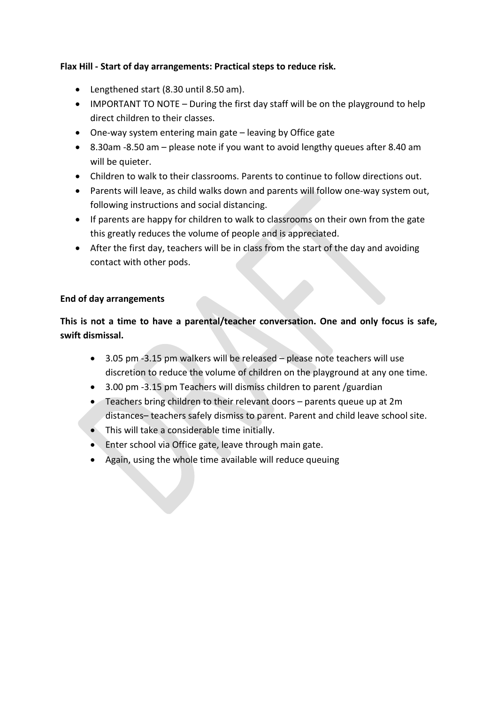# **Flax Hill - Start of day arrangements: Practical steps to reduce risk.**

- Lengthened start (8.30 until 8.50 am).
- IMPORTANT TO NOTE During the first day staff will be on the playground to help direct children to their classes.
- One-way system entering main gate leaving by Office gate
- 8.30am -8.50 am please note if you want to avoid lengthy queues after 8.40 am will be quieter.
- Children to walk to their classrooms. Parents to continue to follow directions out.
- Parents will leave, as child walks down and parents will follow one-way system out, following instructions and social distancing.
- If parents are happy for children to walk to classrooms on their own from the gate this greatly reduces the volume of people and is appreciated.
- After the first day, teachers will be in class from the start of the day and avoiding contact with other pods.

### **End of day arrangements**

**This is not a time to have a parental/teacher conversation. One and only focus is safe, swift dismissal.** 

- 3.05 pm -3.15 pm walkers will be released please note teachers will use discretion to reduce the volume of children on the playground at any one time.
- 3.00 pm -3.15 pm Teachers will dismiss children to parent /guardian
- Teachers bring children to their relevant doors parents queue up at 2m distances– teachers safely dismiss to parent. Parent and child leave school site.
- This will take a considerable time initially.
- Enter school via Office gate, leave through main gate.
- Again, using the whole time available will reduce queuing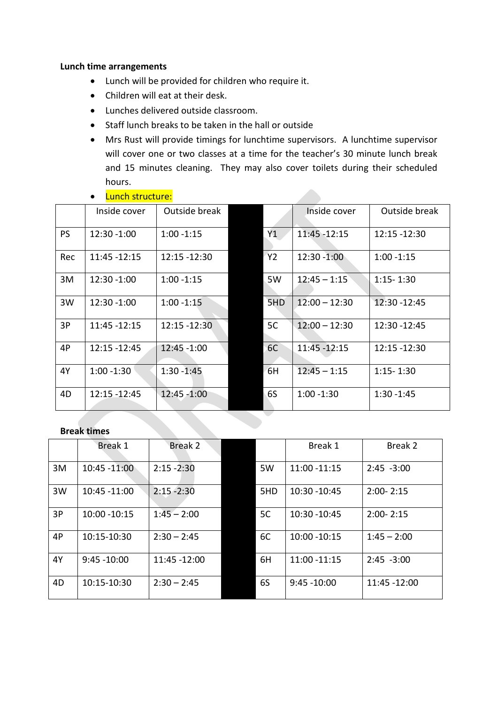#### **Lunch time arrangements**

- Lunch will be provided for children who require it.
- Children will eat at their desk.
- Lunches delivered outside classroom.
- Staff lunch breaks to be taken in the hall or outside
- Mrs Rust will provide timings for lunchtime supervisors. A lunchtime supervisor will cover one or two classes at a time for the teacher's 30 minute lunch break and 15 minutes cleaning. They may also cover toilets during their scheduled hours.

| Lunch structure: |              |      |  |  |  |  |
|------------------|--------------|------|--|--|--|--|
|                  | Inside cover | Outs |  |  |  |  |

|     | Inside cover  | Outside break   |     | Inside cover    | Outside break |
|-----|---------------|-----------------|-----|-----------------|---------------|
| PS  | 12:30 -1:00   | $1:00 - 1:15$   | Y1  | $11:45 - 12:15$ | 12:15 -12:30  |
| Rec | 11:45 - 12:15 | 12:15 - 12:30   | Y2  | 12:30 - 1:00    | $1:00 - 1:15$ |
| 3M  | 12:30 -1:00   | $1:00 - 1:15$   | 5W  | $12:45 - 1:15$  | $1:15 - 1:30$ |
| 3W  | 12:30 -1:00   | $1:00 - 1:15$   | 5HD | $12:00 - 12:30$ | 12:30 - 12:45 |
| 3P  | 11:45 - 12:15 | $12:15 - 12:30$ | 5C  | $12:00 - 12:30$ | 12:30 - 12:45 |
| 4P  | 12:15 -12:45  | 12:45 -1:00     | 6C  | 11:45 - 12:15   | 12:15 - 12:30 |
| 4Y  | $1:00 - 1:30$ | $1:30 - 1:45$   | 6H  | $12:45 - 1:15$  | $1:15 - 1:30$ |
| 4D  | 12:15 - 12:45 | 12:45 -1:00     | 6S  | $1:00 - 1:30$   | $1:30 - 1:45$ |

#### **Break times**

|    | Break 1         | Break 2       |     | Break 1        | Break 2       |
|----|-----------------|---------------|-----|----------------|---------------|
| 3M | $10:45 - 11:00$ | $2:15 - 2:30$ | 5W  | 11:00 -11:15   | $2:45 - 3:00$ |
| 3W | 10:45 -11:00    | $2:15 - 2:30$ | 5HD | 10:30 - 10:45  | $2:00 - 2:15$ |
| 3P | 10:00 - 10:15   | $1:45 - 2:00$ | 5C  | 10:30 - 10:45  | $2:00 - 2:15$ |
| 4P | 10:15-10:30     | $2:30 - 2:45$ | 6C  | 10:00 - 10:15  | $1:45 - 2:00$ |
| 4Y | $9:45 - 10:00$  | 11:45 -12:00  | 6H  | 11:00 - 11:15  | $2:45 - 3:00$ |
| 4D | 10:15-10:30     | $2:30 - 2:45$ | 6S  | $9:45 - 10:00$ | 11:45 -12:00  |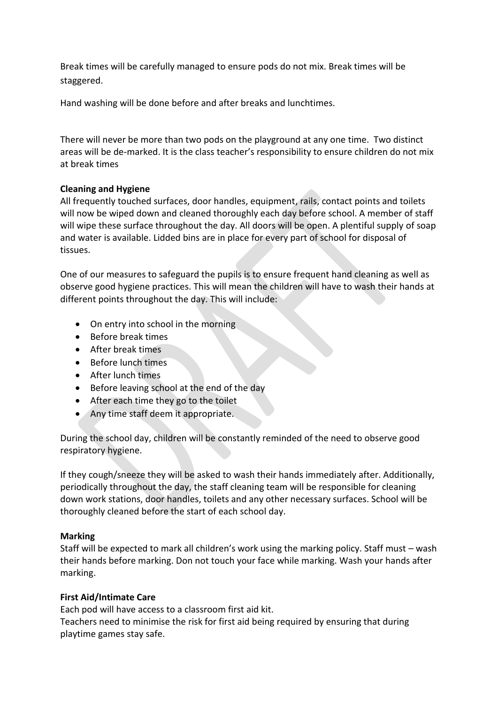Break times will be carefully managed to ensure pods do not mix. Break times will be staggered.

Hand washing will be done before and after breaks and lunchtimes.

There will never be more than two pods on the playground at any one time. Two distinct areas will be de-marked. It is the class teacher's responsibility to ensure children do not mix at break times

### **Cleaning and Hygiene**

All frequently touched surfaces, door handles, equipment, rails, contact points and toilets will now be wiped down and cleaned thoroughly each day before school. A member of staff will wipe these surface throughout the day. All doors will be open. A plentiful supply of soap and water is available. Lidded bins are in place for every part of school for disposal of tissues.

One of our measures to safeguard the pupils is to ensure frequent hand cleaning as well as observe good hygiene practices. This will mean the children will have to wash their hands at different points throughout the day. This will include:

- On entry into school in the morning
- Before break times
- After break times
- Before lunch times
- After lunch times
- Before leaving school at the end of the day
- After each time they go to the toilet
- Any time staff deem it appropriate.

During the school day, children will be constantly reminded of the need to observe good respiratory hygiene.

If they cough/sneeze they will be asked to wash their hands immediately after. Additionally, periodically throughout the day, the staff cleaning team will be responsible for cleaning down work stations, door handles, toilets and any other necessary surfaces. School will be thoroughly cleaned before the start of each school day.

# **Marking**

Staff will be expected to mark all children's work using the marking policy. Staff must – wash their hands before marking. Don not touch your face while marking. Wash your hands after marking.

# **First Aid/Intimate Care**

Each pod will have access to a classroom first aid kit. Teachers need to minimise the risk for first aid being required by ensuring that during playtime games stay safe.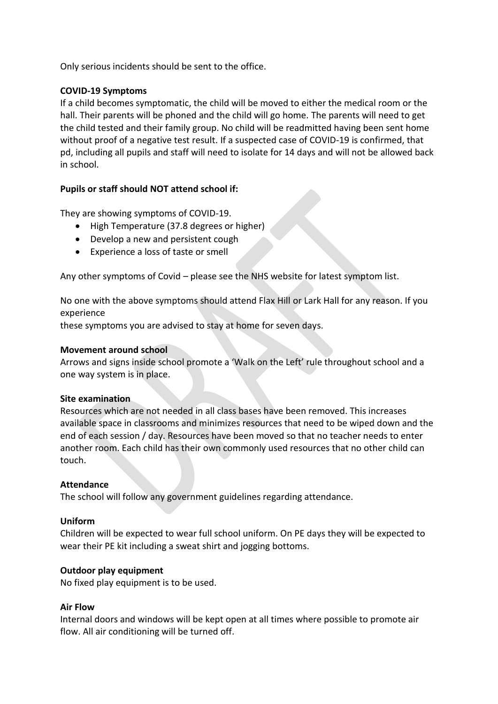Only serious incidents should be sent to the office.

### **COVID-19 Symptoms**

If a child becomes symptomatic, the child will be moved to either the medical room or the hall. Their parents will be phoned and the child will go home. The parents will need to get the child tested and their family group. No child will be readmitted having been sent home without proof of a negative test result. If a suspected case of COVID-19 is confirmed, that pd, including all pupils and staff will need to isolate for 14 days and will not be allowed back in school.

# **Pupils or staff should NOT attend school if:**

They are showing symptoms of COVID-19.

- High Temperature (37.8 degrees or higher)
- Develop a new and persistent cough
- Experience a loss of taste or smell

Any other symptoms of Covid – please see the NHS website for latest symptom list.

No one with the above symptoms should attend Flax Hill or Lark Hall for any reason. If you experience

these symptoms you are advised to stay at home for seven days.

### **Movement around school**

Arrows and signs inside school promote a 'Walk on the Left' rule throughout school and a one way system is in place.

#### **Site examination**

Resources which are not needed in all class bases have been removed. This increases available space in classrooms and minimizes resources that need to be wiped down and the end of each session / day. Resources have been moved so that no teacher needs to enter another room. Each child has their own commonly used resources that no other child can touch.

#### **Attendance**

The school will follow any government guidelines regarding attendance.

#### **Uniform**

Children will be expected to wear full school uniform. On PE days they will be expected to wear their PE kit including a sweat shirt and jogging bottoms.

#### **Outdoor play equipment**

No fixed play equipment is to be used.

#### **Air Flow**

Internal doors and windows will be kept open at all times where possible to promote air flow. All air conditioning will be turned off.